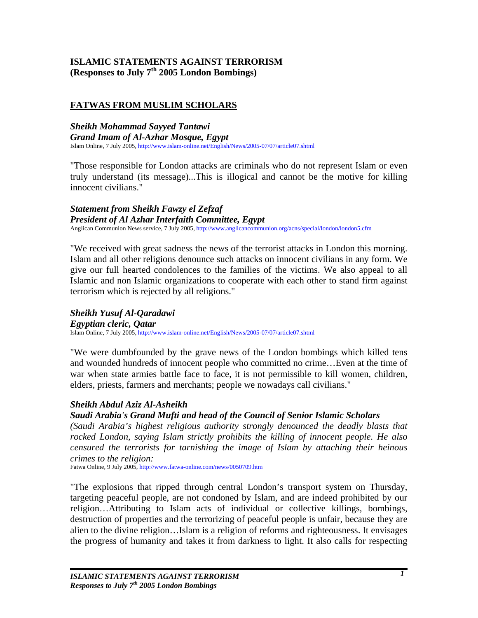## **ISLAMIC STATEMENTS AGAINST TERRORISM (Responses to July 7th 2005 London Bombings)**

# **FATWAS FROM MUSLIM SCHOLARS**

*Sheikh Mohammad Sayyed Tantawi Grand Imam of Al-Azhar Mosque, Egypt*  Islam Online, 7 July 2005, http://www.islam-online.net/English/News/2005-07/07/article07.shtml

"Those responsible for London attacks are criminals who do not represent Islam or even truly understand (its message)...This is illogical and cannot be the motive for killing innocent civilians."

#### *Statement from Sheikh Fawzy el Zefzaf President of Al Azhar Interfaith Committee, Egypt*  Anglican Communion News service, 7 July 2005, http://www.anglicancommunion.org/acns/special/london/london5.cfm

"We received with great sadness the news of the terrorist attacks in London this morning. Islam and all other religions denounce such attacks on innocent civilians in any form. We give our full hearted condolences to the families of the victims. We also appeal to all Islamic and non Islamic organizations to cooperate with each other to stand firm against terrorism which is rejected by all religions."

#### *Sheikh Yusuf Al-Qaradawi Egyptian cleric, Qatar*  Islam Online, 7 July 2005, http://www.islam-online.net/English/News/2005-07/07/article07.shtml

"We were dumbfounded by the grave news of the London bombings which killed tens and wounded hundreds of innocent people who committed no crime…Even at the time of war when state armies battle face to face, it is not permissible to kill women, children, elders, priests, farmers and merchants; people we nowadays call civilians."

## *Sheikh Abdul Aziz Al-Asheikh*

## *Saudi Arabia's Grand Mufti and head of the Council of Senior Islamic Scholars*

*(Saudi Arabia's highest religious authority strongly denounced the deadly blasts that rocked London, saying Islam strictly prohibits the killing of innocent people. He also censured the terrorists for tarnishing the image of Islam by attaching their heinous crimes to the religion:* 

Fatwa Online, 9 July 2005, http://www.fatwa-online.com/news/0050709.htm

"The explosions that ripped through central London's transport system on Thursday, targeting peaceful people, are not condoned by Islam, and are indeed prohibited by our religion…Attributing to Islam acts of individual or collective killings, bombings, destruction of properties and the terrorizing of peaceful people is unfair, because they are alien to the divine religion…Islam is a religion of reforms and righteousness. It envisages the progress of humanity and takes it from darkness to light. It also calls for respecting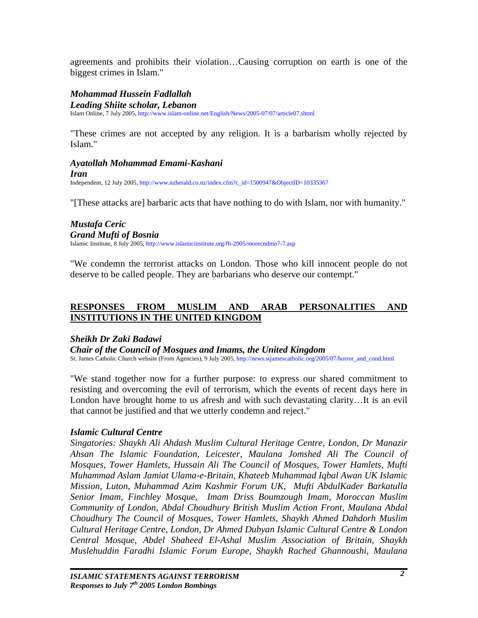agreements and prohibits their violation…Causing corruption on earth is one of the biggest crimes in Islam."

## *Mohammad Hussein Fadlallah*

#### *Leading Shiite scholar, Lebanon*

Islam Online, 7 July 2005, http://www.islam-online.net/English/News/2005-07/07/article07.shtml

"These crimes are not accepted by any religion. It is a barbarism wholly rejected by Islam."

#### *Ayatollah Mohammad Emami-Kashani Iran*

Independent, 12 July 2005, http://www.nzherald.co.nz/index.cfm?c\_id=1500947&ObjectID=10335367

"[These attacks are] barbaric acts that have nothing to do with Islam, nor with humanity."

# *Mustafa Ceric*

#### *Grand Mufti of Bosnia*

Islamic Institute, 8 July 2005, http://www.islamicinstitute.org/fb-2005/morecndmn7-7.asp

"We condemn the terrorist attacks on London. Those who kill innocent people do not deserve to be called people. They are barbarians who deserve our contempt."

## **RESPONSES FROM MUSLIM AND ARAB PERSONALITIES AND INSTITUTIONS IN THE UNITED KINGDOM**

#### *Sheikh Dr Zaki Badawi Chair of the Council of Mosques and Imams, the United Kingdom*

St. James Catholic Church website (From Agencies), 9 July 2005, http://news.stjamescatholic.org/2005/07/horror\_and\_cond.html

"We stand together now for a further purpose: to express our shared commitment to resisting and overcoming the evil of terrorism, which the events of recent days here in London have brought home to us afresh and with such devastating clarity…It is an evil that cannot be justified and that we utterly condemn and reject."

## *Islamic Cultural Centre*

*Singatories: Shaykh Ali Ahdash Muslim Cultural Heritage Centre, London, Dr Manazir Ahsan The Islamic Foundation, Leicester, Maulana Jomshed Ali The Council of Mosques, Tower Hamlets, Hussain Ali The Council of Mosques, Tower Hamlets, Mufti Muhammad Aslam Jamiat Ulama-e-Britain, Khateeb Muhammad Iqbal Awan UK Islamic Mission, Luton, Muhammad Azim Kashmir Forum UK, Mufti AbdulKader Barkatulla Senior Imam, Finchley Mosque, Imam Driss Boumzough Imam, Moroccan Muslim Community of London, Abdal Choudhury British Muslim Action Front, Maulana Abdal Choudhury The Council of Mosques, Tower Hamlets, Shaykh Ahmed Dahdorh Muslim Cultural Heritage Centre, London, Dr Ahmed Dubyan Islamic Cultural Centre & London Central Mosque, Abdel Shaheed El-Ashal Muslim Association of Britain, Shaykh Muslehuddin Faradhi Islamic Forum Europe, Shaykh Rached Ghannoushi, Maulana*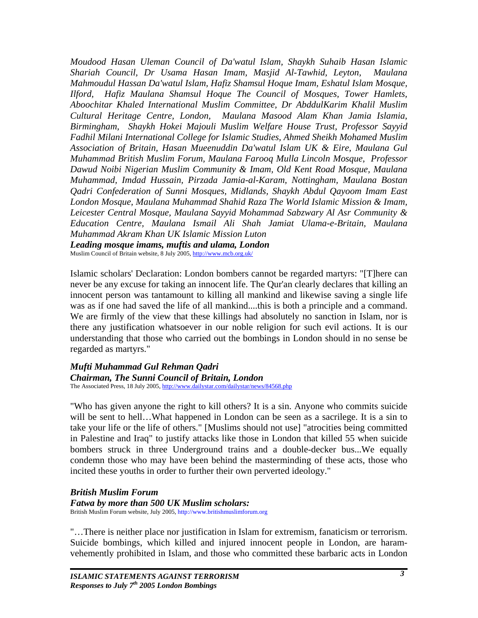*Moudood Hasan Uleman Council of Da'watul Islam, Shaykh Suhaib Hasan Islamic Shariah Council, Dr Usama Hasan Imam, Masjid Al-Tawhid, Leyton, Maulana Mahmoudul Hassan Da'watul Islam, Hafiz Shamsul Hoque Imam, Eshatul Islam Mosque, Ilford, Hafiz Maulana Shamsul Hoque The Council of Mosques, Tower Hamlets, Aboochitar Khaled International Muslim Committee, Dr AbddulKarim Khalil Muslim Cultural Heritage Centre, London, Maulana Masood Alam Khan Jamia Islamia, Birmingham, Shaykh Hokei Majouli Muslim Welfare House Trust, Professor Sayyid Fadhil Milani International College for Islamic Studies, Ahmed Sheikh Mohamed Muslim Association of Britain, Hasan Mueenuddin Da'watul Islam UK & Eire, Maulana Gul Muhammad British Muslim Forum, Maulana Farooq Mulla Lincoln Mosque, Professor Dawud Noibi Nigerian Muslim Community & Imam, Old Kent Road Mosque, Maulana Muhammad, Imdad Hussain, Pirzada Jamia-al-Karam, Nottingham, Maulana Bostan Qadri Confederation of Sunni Mosques, Midlands, Shaykh Abdul Qayoom Imam East London Mosque, Maulana Muhammad Shahid Raza The World Islamic Mission & Imam, Leicester Central Mosque, Maulana Sayyid Mohammad Sabzwary Al Asr Community & Education Centre, Maulana Ismail Ali Shah Jamiat Ulama-e-Britain, Maulana Muhammad Akram Khan UK Islamic Mission Luton* 

*Leading mosque imams, muftis and ulama, London*  Muslim Council of Britain website, 8 July 2005, http://www.mcb.org.uk/

Islamic scholars' Declaration: London bombers cannot be regarded martyrs: "[T]here can never be any excuse for taking an innocent life. The Qur'an clearly declares that killing an innocent person was tantamount to killing all mankind and likewise saving a single life was as if one had saved the life of all mankind....this is both a principle and a command. We are firmly of the view that these killings had absolutely no sanction in Islam, nor is there any justification whatsoever in our noble religion for such evil actions. It is our understanding that those who carried out the bombings in London should in no sense be regarded as martyrs."

*Mufti Muhammad Gul Rehman Qadri Chairman, The Sunni Council of Britain, London*  The Associated Press, 18 July 2005, http://www.dailystar.com/dailystar/news/84568.php

"Who has given anyone the right to kill others? It is a sin. Anyone who commits suicide will be sent to hell...What happened in London can be seen as a sacrilege. It is a sin to take your life or the life of others." [Muslims should not use] "atrocities being committed in Palestine and Iraq" to justify attacks like those in London that killed 55 when suicide bombers struck in three Underground trains and a double-decker bus...We equally condemn those who may have been behind the masterminding of these acts, those who incited these youths in order to further their own perverted ideology."

## *British Muslim Forum*

*Fatwa by more than 500 UK Muslim scholars:*  British Muslim Forum website, July 2005, http://www.britishmuslimforum.org

"…There is neither place nor justification in Islam for extremism, fanaticism or terrorism. Suicide bombings, which killed and injured innocent people in London, are haramvehemently prohibited in Islam, and those who committed these barbaric acts in London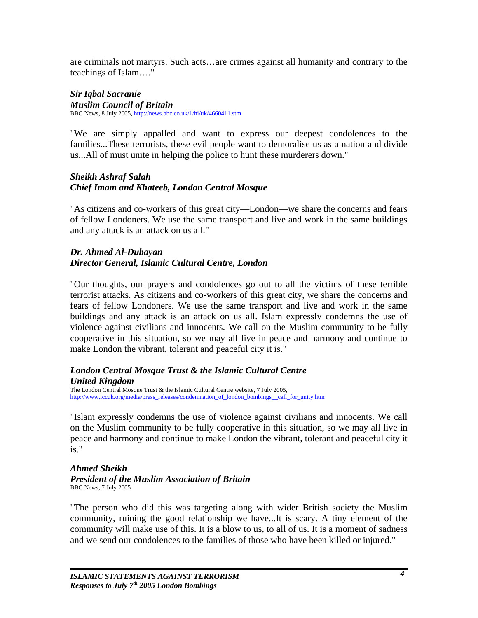are criminals not martyrs. Such acts…are crimes against all humanity and contrary to the teachings of Islam…."

# *Sir Iqbal Sacranie*

*Muslim Council of Britain* 

BBC News, 8 July 2005, http://news.bbc.co.uk/1/hi/uk/4660411.stm

"We are simply appalled and want to express our deepest condolences to the families...These terrorists, these evil people want to demoralise us as a nation and divide us...All of must unite in helping the police to hunt these murderers down."

## *Sheikh Ashraf Salah Chief Imam and Khateeb, London Central Mosque*

"As citizens and co-workers of this great city—London—we share the concerns and fears of fellow Londoners. We use the same transport and live and work in the same buildings and any attack is an attack on us all."

## *Dr. Ahmed Al-Dubayan Director General, Islamic Cultural Centre, London*

"Our thoughts, our prayers and condolences go out to all the victims of these terrible terrorist attacks. As citizens and co-workers of this great city, we share the concerns and fears of fellow Londoners. We use the same transport and live and work in the same buildings and any attack is an attack on us all. Islam expressly condemns the use of violence against civilians and innocents. We call on the Muslim community to be fully cooperative in this situation, so we may all live in peace and harmony and continue to make London the vibrant, tolerant and peaceful city it is."

# *London Central Mosque Trust & the Islamic Cultural Centre United Kingdom*

The London Central Mosque Trust & the Islamic Cultural Centre website, 7 July 2005, http://www.iccuk.org/media/press\_releases/condemnation\_of\_london\_bombings\_\_call\_for\_unity.htm

"Islam expressly condemns the use of violence against civilians and innocents. We call on the Muslim community to be fully cooperative in this situation, so we may all live in peace and harmony and continue to make London the vibrant, tolerant and peaceful city it is."

#### *Ahmed Sheikh President of the Muslim Association of Britain*  BBC News, 7 July 2005

"The person who did this was targeting along with wider British society the Muslim community, ruining the good relationship we have...It is scary. A tiny element of the community will make use of this. It is a blow to us, to all of us. It is a moment of sadness and we send our condolences to the families of those who have been killed or injured."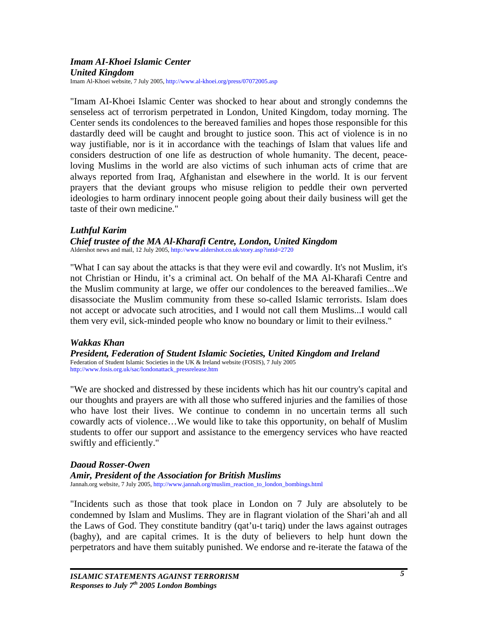#### *Imam AI-Khoei Islamic Center United Kingdom*  Imam Al-Khoei website, 7 July 2005, http://www.al-khoei.org/press/07072005.asp

"Imam AI-Khoei Islamic Center was shocked to hear about and strongly condemns the senseless act of terrorism perpetrated in London, United Kingdom, today morning. The Center sends its condolences to the bereaved families and hopes those responsible for this dastardly deed will be caught and brought to justice soon. This act of violence is in no way justifiable, nor is it in accordance with the teachings of Islam that values life and considers destruction of one life as destruction of whole humanity. The decent, peaceloving Muslims in the world are also victims of such inhuman acts of crime that are always reported from Iraq, Afghanistan and elsewhere in the world. It is our fervent prayers that the deviant groups who misuse religion to peddle their own perverted ideologies to harm ordinary innocent people going about their daily business will get the taste of their own medicine."

## *Luthful Karim*

*Chief trustee of the MA Al-Kharafi Centre, London, United Kingdom*  Aldershot news and mail, 12 July 2005, http://www.aldershot.co.uk/story.asp?intid=2720

"What I can say about the attacks is that they were evil and cowardly. It's not Muslim, it's not Christian or Hindu, it's a criminal act. On behalf of the MA Al-Kharafi Centre and the Muslim community at large, we offer our condolences to the bereaved families...We disassociate the Muslim community from these so-called Islamic terrorists. Islam does not accept or advocate such atrocities, and I would not call them Muslims...I would call them very evil, sick-minded people who know no boundary or limit to their evilness."

## *Wakkas Khan*

*President, Federation of Student Islamic Societies, United Kingdom and Ireland* Federation of Student Islamic Societies in the UK & Ireland website (FOSIS), 7 July 2005 http://www.fosis.org.uk/sac/londonattack\_pressrelease.htm

"We are shocked and distressed by these incidents which has hit our country's capital and our thoughts and prayers are with all those who suffered injuries and the families of those who have lost their lives. We continue to condemn in no uncertain terms all such cowardly acts of violence…We would like to take this opportunity, on behalf of Muslim students to offer our support and assistance to the emergency services who have reacted swiftly and efficiently."

## *Daoud Rosser-Owen*

#### *Amir, President of the Association for British Muslims*  Jannah.org website, 7 July 2005, http://www.jannah.org/muslim\_reaction\_to\_london\_bombings.html

"Incidents such as those that took place in London on 7 July are absolutely to be condemned by Islam and Muslims. They are in flagrant violation of the Shari'ah and all the Laws of God. They constitute banditry (qat'u-t tariq) under the laws against outrages (baghy), and are capital crimes. It is the duty of believers to help hunt down the perpetrators and have them suitably punished. We endorse and re-iterate the fatawa of the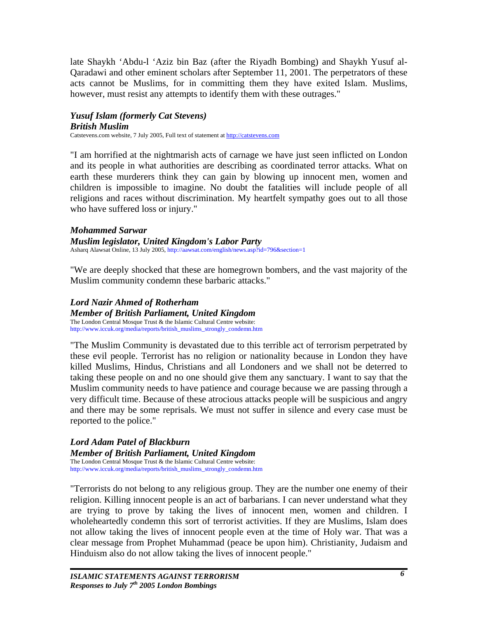late Shaykh 'Abdu-l 'Aziz bin Baz (after the Riyadh Bombing) and Shaykh Yusuf al-Qaradawi and other eminent scholars after September 11, 2001. The perpetrators of these acts cannot be Muslims, for in committing them they have exited Islam. Muslims, however, must resist any attempts to identify them with these outrages."

#### *Yusuf Islam (formerly Cat Stevens) British Muslim*

Catstevens.com website, 7 July 2005, Full text of statement at http://catstevens.com

"I am horrified at the nightmarish acts of carnage we have just seen inflicted on London and its people in what authorities are describing as coordinated terror attacks. What on earth these murderers think they can gain by blowing up innocent men, women and children is impossible to imagine. No doubt the fatalities will include people of all religions and races without discrimination. My heartfelt sympathy goes out to all those who have suffered loss or injury."

## *Mohammed Sarwar*

*Muslim legislator, United Kingdom's Labor Party*  Asharq Alawsat Online, 13 July 2005, http://aawsat.com/english/news.asp?id=796&section=1

"We are deeply shocked that these are homegrown bombers, and the vast majority of the Muslim community condemn these barbaric attacks."

## *Lord Nazir Ahmed of Rotherham*

*Member of British Parliament, United Kingdom*  The London Central Mosque Trust & the Islamic Cultural Centre website: http://www.iccuk.org/media/reports/british\_muslims\_strongly\_condemn.htm

"The Muslim Community is devastated due to this terrible act of terrorism perpetrated by these evil people. Terrorist has no religion or nationality because in London they have killed Muslims, Hindus, Christians and all Londoners and we shall not be deterred to taking these people on and no one should give them any sanctuary. I want to say that the Muslim community needs to have patience and courage because we are passing through a very difficult time. Because of these atrocious attacks people will be suspicious and angry and there may be some reprisals. We must not suffer in silence and every case must be reported to the police."

# *Lord Adam Patel of Blackburn*

*Member of British Parliament, United Kingdom*  The London Central Mosque Trust & the Islamic Cultural Centre website: http://www.iccuk.org/media/reports/british\_muslims\_strongly\_condemn.htm

"Terrorists do not belong to any religious group. They are the number one enemy of their religion. Killing innocent people is an act of barbarians. I can never understand what they are trying to prove by taking the lives of innocent men, women and children. I wholeheartedly condemn this sort of terrorist activities. If they are Muslims, Islam does not allow taking the lives of innocent people even at the time of Holy war. That was a clear message from Prophet Muhammad (peace be upon him). Christianity, Judaism and Hinduism also do not allow taking the lives of innocent people."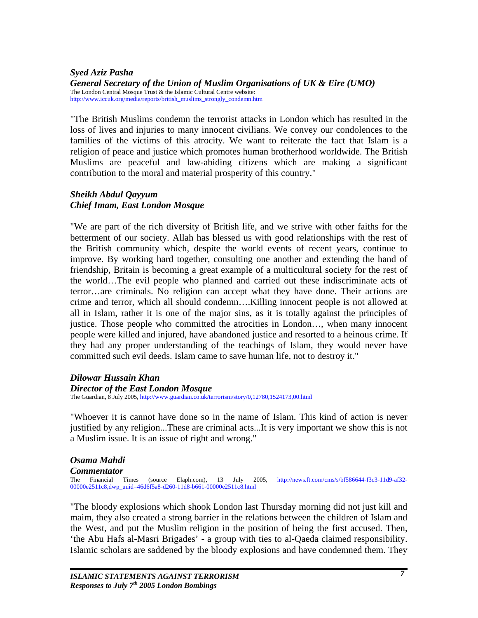*Syed Aziz Pasha General Secretary of the Union of Muslim Organisations of UK & Eire (UMO)*  The London Central Mosque Trust & the Islamic Cultural Centre website: http://www.iccuk.org/media/reports/british\_muslims\_strongly\_condemn.htm

"The British Muslims condemn the terrorist attacks in London which has resulted in the loss of lives and injuries to many innocent civilians. We convey our condolences to the families of the victims of this atrocity. We want to reiterate the fact that Islam is a religion of peace and justice which promotes human brotherhood worldwide. The British Muslims are peaceful and law-abiding citizens which are making a significant contribution to the moral and material prosperity of this country."

## *Sheikh Abdul Qayyum Chief Imam, East London Mosque*

"We are part of the rich diversity of British life, and we strive with other faiths for the betterment of our society. Allah has blessed us with good relationships with the rest of the British community which, despite the world events of recent years, continue to improve. By working hard together, consulting one another and extending the hand of friendship, Britain is becoming a great example of a multicultural society for the rest of the world…The evil people who planned and carried out these indiscriminate acts of terror…are criminals. No religion can accept what they have done. Their actions are crime and terror, which all should condemn….Killing innocent people is not allowed at all in Islam, rather it is one of the major sins, as it is totally against the principles of justice. Those people who committed the atrocities in London…, when many innocent people were killed and injured, have abandoned justice and resorted to a heinous crime. If they had any proper understanding of the teachings of Islam, they would never have committed such evil deeds. Islam came to save human life, not to destroy it."

## *Dilowar Hussain Khan*

#### *Director of the East London Mosque*

The Guardian, 8 July 2005, http://www.guardian.co.uk/terrorism/story/0,12780,1524173,00.html

"Whoever it is cannot have done so in the name of Islam. This kind of action is never justified by any religion...These are criminal acts...It is very important we show this is not a Muslim issue. It is an issue of right and wrong."

# *Osama Mahdi*

*Commentator*  The Financial Times (source Elaph.com), 13 July 2005, http://news.ft.com/cms/s/bf586644-f3c3-11d9-af32- 00000e2511c8,dwp\_uuid=46d6f5a8-d260-11d8-b661-00000e2511c8.html

"The bloody explosions which shook London last Thursday morning did not just kill and maim, they also created a strong barrier in the relations between the children of Islam and the West, and put the Muslim religion in the position of being the first accused. Then, 'the Abu Hafs al-Masri Brigades' - a group with ties to al-Qaeda claimed responsibility. Islamic scholars are saddened by the bloody explosions and have condemned them. They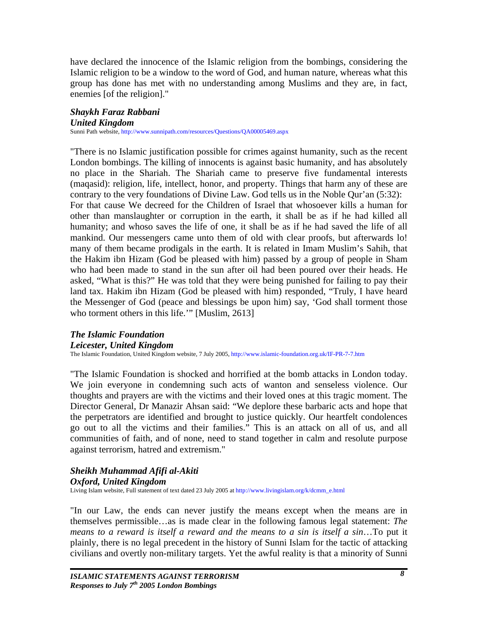have declared the innocence of the Islamic religion from the bombings, considering the Islamic religion to be a window to the word of God, and human nature, whereas what this group has done has met with no understanding among Muslims and they are, in fact, enemies [of the religion]."

# *Shaykh Faraz Rabbani United Kingdom*

Sunni Path website, http://www.sunnipath.com/resources/Questions/QA00005469.aspx

"There is no Islamic justification possible for crimes against humanity, such as the recent London bombings. The killing of innocents is against basic humanity, and has absolutely no place in the Shariah. The Shariah came to preserve five fundamental interests (maqasid): religion, life, intellect, honor, and property. Things that harm any of these are contrary to the very foundations of Divine Law. God tells us in the Noble Qur'an (5:32): For that cause We decreed for the Children of Israel that whosoever kills a human for other than manslaughter or corruption in the earth, it shall be as if he had killed all humanity; and whoso saves the life of one, it shall be as if he had saved the life of all mankind. Our messengers came unto them of old with clear proofs, but afterwards lo! many of them became prodigals in the earth. It is related in Imam Muslim's Sahih, that the Hakim ibn Hizam (God be pleased with him) passed by a group of people in Sham who had been made to stand in the sun after oil had been poured over their heads. He asked, "What is this?" He was told that they were being punished for failing to pay their land tax. Hakim ibn Hizam (God be pleased with him) responded, "Truly, I have heard the Messenger of God (peace and blessings be upon him) say, 'God shall torment those who torment others in this life.'" [Muslim, 2613]

#### *The Islamic Foundation Leicester, United Kingdom*

The Islamic Foundation, United Kingdom website, 7 July 2005, http://www.islamic-foundation.org.uk/IF-PR-7-7.htm

"The Islamic Foundation is shocked and horrified at the bomb attacks in London today. We join everyone in condemning such acts of wanton and senseless violence. Our thoughts and prayers are with the victims and their loved ones at this tragic moment. The Director General, Dr Manazir Ahsan said: "We deplore these barbaric acts and hope that the perpetrators are identified and brought to justice quickly. Our heartfelt condolences go out to all the victims and their families." This is an attack on all of us, and all communities of faith, and of none, need to stand together in calm and resolute purpose against terrorism, hatred and extremism."

# *Sheikh Muhammad Afifi al-Akiti Oxford, United Kingdom*

Living Islam website, Full statement of text dated 23 July 2005 at http://www.livingislam.org/k/dcmm\_e.html

"In our Law, the ends can never justify the means except when the means are in themselves permissible…as is made clear in the following famous legal statement: *The means to a reward is itself a reward and the means to a sin is itself a sin*…To put it plainly, there is no legal precedent in the history of Sunni Islam for the tactic of attacking civilians and overtly non-military targets. Yet the awful reality is that a minority of Sunni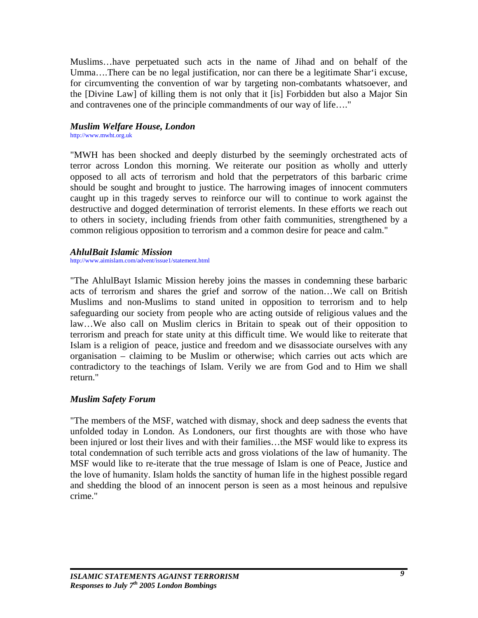Muslims…have perpetuated such acts in the name of Jihad and on behalf of the Umma….There can be no legal justification, nor can there be a legitimate Shar'i excuse, for circumventing the convention of war by targeting non-combatants whatsoever, and the [Divine Law] of killing them is not only that it [is] Forbidden but also a Major Sin and contravenes one of the principle commandments of our way of life…."

## *Muslim Welfare House, London*

http://www.mwht.org.uk

"MWH has been shocked and deeply disturbed by the seemingly orchestrated acts of terror across London this morning. We reiterate our position as wholly and utterly opposed to all acts of terrorism and hold that the perpetrators of this barbaric crime should be sought and brought to justice. The harrowing images of innocent commuters caught up in this tragedy serves to reinforce our will to continue to work against the destructive and dogged determination of terrorist elements. In these efforts we reach out to others in society, including friends from other faith communities, strengthened by a common religious opposition to terrorism and a common desire for peace and calm."

#### *AhlulBait Islamic Mission*

http://www.aimislam.com/advent/issue1/statement.html

"The AhlulBayt Islamic Mission hereby joins the masses in condemning these barbaric acts of terrorism and shares the grief and sorrow of the nation…We call on British Muslims and non-Muslims to stand united in opposition to terrorism and to help safeguarding our society from people who are acting outside of religious values and the law…We also call on Muslim clerics in Britain to speak out of their opposition to terrorism and preach for state unity at this difficult time. We would like to reiterate that Islam is a religion of peace, justice and freedom and we disassociate ourselves with any organisation – claiming to be Muslim or otherwise; which carries out acts which are contradictory to the teachings of Islam. Verily we are from God and to Him we shall return."

## *Muslim Safety Forum*

"The members of the MSF, watched with dismay, shock and deep sadness the events that unfolded today in London. As Londoners, our first thoughts are with those who have been injured or lost their lives and with their families…the MSF would like to express its total condemnation of such terrible acts and gross violations of the law of humanity. The MSF would like to re-iterate that the true message of Islam is one of Peace, Justice and the love of humanity. Islam holds the sanctity of human life in the highest possible regard and shedding the blood of an innocent person is seen as a most heinous and repulsive crime."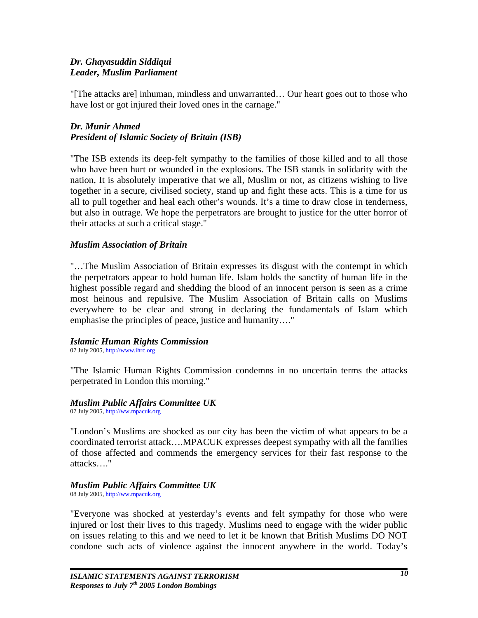## *Dr. Ghayasuddin Siddiqui Leader, Muslim Parliament*

"[The attacks are] inhuman, mindless and unwarranted… Our heart goes out to those who have lost or got injured their loved ones in the carnage."

## *Dr. Munir Ahmed President of Islamic Society of Britain (ISB)*

"The ISB extends its deep-felt sympathy to the families of those killed and to all those who have been hurt or wounded in the explosions. The ISB stands in solidarity with the nation, It is absolutely imperative that we all, Muslim or not, as citizens wishing to live together in a secure, civilised society, stand up and fight these acts. This is a time for us all to pull together and heal each other's wounds. It's a time to draw close in tenderness, but also in outrage. We hope the perpetrators are brought to justice for the utter horror of their attacks at such a critical stage."

## *Muslim Association of Britain*

"…The Muslim Association of Britain expresses its disgust with the contempt in which the perpetrators appear to hold human life. Islam holds the sanctity of human life in the highest possible regard and shedding the blood of an innocent person is seen as a crime most heinous and repulsive. The Muslim Association of Britain calls on Muslims everywhere to be clear and strong in declaring the fundamentals of Islam which emphasise the principles of peace, justice and humanity…."

## *Islamic Human Rights Commission*

07 July 2005, http://www.ihrc.org

"The Islamic Human Rights Commission condemns in no uncertain terms the attacks perpetrated in London this morning."

# *Muslim Public Affairs Committee UK*

07 July 2005, http://ww.mpacuk.org

"London's Muslims are shocked as our city has been the victim of what appears to be a coordinated terrorist attack….MPACUK expresses deepest sympathy with all the families of those affected and commends the emergency services for their fast response to the attacks…."

# *Muslim Public Affairs Committee UK*

08 July 2005, http://ww.mpacuk.org

"Everyone was shocked at yesterday's events and felt sympathy for those who were injured or lost their lives to this tragedy. Muslims need to engage with the wider public on issues relating to this and we need to let it be known that British Muslims DO NOT condone such acts of violence against the innocent anywhere in the world. Today's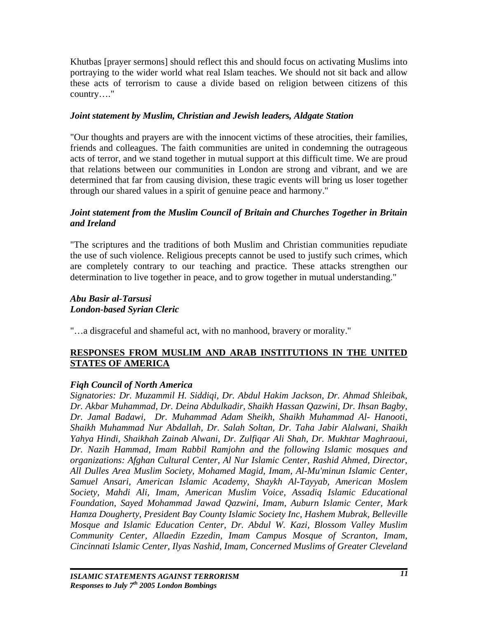Khutbas [prayer sermons] should reflect this and should focus on activating Muslims into portraying to the wider world what real Islam teaches. We should not sit back and allow these acts of terrorism to cause a divide based on religion between citizens of this country…."

# *Joint statement by Muslim, Christian and Jewish leaders, Aldgate Station*

"Our thoughts and prayers are with the innocent victims of these atrocities, their families, friends and colleagues. The faith communities are united in condemning the outrageous acts of terror, and we stand together in mutual support at this difficult time. We are proud that relations between our communities in London are strong and vibrant, and we are determined that far from causing division, these tragic events will bring us loser together through our shared values in a spirit of genuine peace and harmony."

# *Joint statement from the Muslim Council of Britain and Churches Together in Britain and Ireland*

"The scriptures and the traditions of both Muslim and Christian communities repudiate the use of such violence. Religious precepts cannot be used to justify such crimes, which are completely contrary to our teaching and practice. These attacks strengthen our determination to live together in peace, and to grow together in mutual understanding."

## *Abu Basir al-Tarsusi London-based Syrian Cleric*

"…a disgraceful and shameful act, with no manhood, bravery or morality."

# **RESPONSES FROM MUSLIM AND ARAB INSTITUTIONS IN THE UNITED STATES OF AMERICA**

# *Fiqh Council of North America*

*Signatories: Dr. Muzammil H. Siddiqi, Dr. Abdul Hakim Jackson, Dr. Ahmad Shleibak, Dr. Akbar Muhammad, Dr. Deina Abdulkadir, Shaikh Hassan Qazwini, Dr. Ihsan Bagby, Dr. Jamal Badawi, Dr. Muhammad Adam Sheikh, Shaikh Muhammad Al- Hanooti, Shaikh Muhammad Nur Abdallah, Dr. Salah Soltan, Dr. Taha Jabir Alalwani, Shaikh Yahya Hindi, Shaikhah Zainab Alwani, Dr. Zulfiqar Ali Shah, Dr. Mukhtar Maghraoui, Dr. Nazih Hammad, Imam Rabbil Ramjohn and the following Islamic mosques and organizations: Afghan Cultural Center, Al Nur Islamic Center, Rashid Ahmed, Director, All Dulles Area Muslim Society, Mohamed Magid, Imam, Al-Mu'minun Islamic Center, Samuel Ansari, American Islamic Academy, Shaykh Al-Tayyab, American Moslem Society, Mahdi Ali, Imam, American Muslim Voice, Assadiq Islamic Educational Foundation, Sayed Mohammad Jawad Qazwini, Imam, Auburn Islamic Center, Mark Hamza Dougherty, President Bay County Islamic Society Inc, Hashem Mubrak, Belleville Mosque and Islamic Education Center, Dr. Abdul W. Kazi, Blossom Valley Muslim Community Center, Allaedin Ezzedin, Imam Campus Mosque of Scranton, Imam, Cincinnati Islamic Center, Ilyas Nashid, Imam, Concerned Muslims of Greater Cleveland*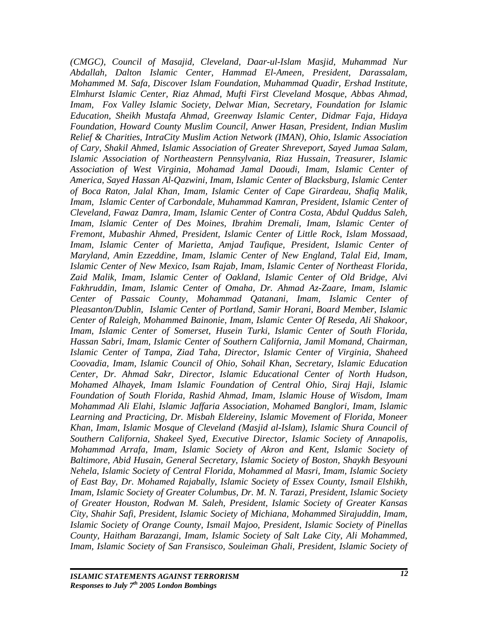*(CMGC), Council of Masajid, Cleveland, Daar-ul-Islam Masjid, Muhammad Nur Abdallah, Dalton Islamic Center, Hammad El-Ameen, President, Darassalam, Mohammed M. Safa, Discover Islam Foundation, Muhammad Quadir, Ershad Institute, Elmhurst Islamic Center, Riaz Ahmad, Mufti First Cleveland Mosque, Abbas Ahmad, Imam, Fox Valley Islamic Society, Delwar Mian, Secretary, Foundation for Islamic Education, Sheikh Mustafa Ahmad, Greenway Islamic Center, Didmar Faja, Hidaya Foundation, Howard County Muslim Council, Anwer Hasan, President, Indian Muslim Relief & Charities, IntraCity Muslim Action Network (IMAN), Ohio, Islamic Association of Cary, Shakil Ahmed, Islamic Association of Greater Shreveport, Sayed Jumaa Salam, Islamic Association of Northeastern Pennsylvania, Riaz Hussain, Treasurer, Islamic Association of West Virginia, Mohamad Jamal Daoudi, Imam, Islamic Center of America, Sayed Hassan Al-Qazwini, Imam, Islamic Center of Blacksburg, Islamic Center of Boca Raton, Jalal Khan, Imam, Islamic Center of Cape Girardeau, Shafiq Malik, Imam, Islamic Center of Carbondale, Muhammad Kamran, President, Islamic Center of Cleveland, Fawaz Damra, Imam, Islamic Center of Contra Costa, Abdul Quddus Saleh, Imam, Islamic Center of Des Moines, Ibrahim Dremali, Imam, Islamic Center of Fremont, Mubashir Ahmed, President, Islamic Center of Little Rock, Islam Mossaad, Imam, Islamic Center of Marietta, Amjad Taufique, President, Islamic Center of Maryland, Amin Ezzeddine, Imam, Islamic Center of New England, Talal Eid, Imam, Islamic Center of New Mexico, Isam Rajab, Imam, Islamic Center of Northeast Florida, Zaid Malik, Imam, Islamic Center of Oakland, Islamic Center of Old Bridge, Alvi Fakhruddin, Imam, Islamic Center of Omaha, Dr. Ahmad Az-Zaare, Imam, Islamic Center of Passaic County, Mohammad Qatanani, Imam, Islamic Center of Pleasanton/Dublin, Islamic Center of Portland, Samir Horani, Board Member, Islamic Center of Raleigh, Mohammed Bainonie, Imam, Islamic Center Of Reseda, Ali Shakoor, Imam, Islamic Center of Somerset, Husein Turki, Islamic Center of South Florida, Hassan Sabri, Imam, Islamic Center of Southern California, Jamil Momand, Chairman, Islamic Center of Tampa, Ziad Taha, Director, Islamic Center of Virginia, Shaheed Coovadia, Imam, Islamic Council of Ohio, Sohail Khan, Secretary, Islamic Education Center, Dr. Ahmad Sakr, Director, Islamic Educational Center of North Hudson, Mohamed Alhayek, Imam Islamic Foundation of Central Ohio, Siraj Haji, Islamic Foundation of South Florida, Rashid Ahmad, Imam, Islamic House of Wisdom, Imam Mohammad Ali Elahi, Islamic Jaffaria Association, Mohamed Banglori, Imam, Islamic Learning and Practicing, Dr. Misbah Eldereiny, Islamic Movement of Florida, Moneer Khan, Imam, Islamic Mosque of Cleveland (Masjid al-Islam), Islamic Shura Council of Southern California, Shakeel Syed, Executive Director, Islamic Society of Annapolis, Mohammad Arrafa, Imam, Islamic Society of Akron and Kent, Islamic Society of Baltimore, Abid Husain, General Secretary, Islamic Society of Boston, Shaykh Besyouni Nehela, Islamic Society of Central Florida, Mohammed al Masri, Imam, Islamic Society of East Bay, Dr. Mohamed Rajabally, Islamic Society of Essex County, Ismail Elshikh, Imam, Islamic Society of Greater Columbus, Dr. M. N. Tarazi, President, Islamic Society of Greater Houston, Rodwan M. Saleh, President, Islamic Society of Greater Kansas City, Shahir Safi, President, Islamic Society of Michiana, Mohammed Sirajuddin, Imam, Islamic Society of Orange County, Ismail Majoo, President, Islamic Society of Pinellas County, Haitham Barazangi, Imam, Islamic Society of Salt Lake City, Ali Mohammed, Imam, Islamic Society of San Fransisco, Souleiman Ghali, President, Islamic Society of*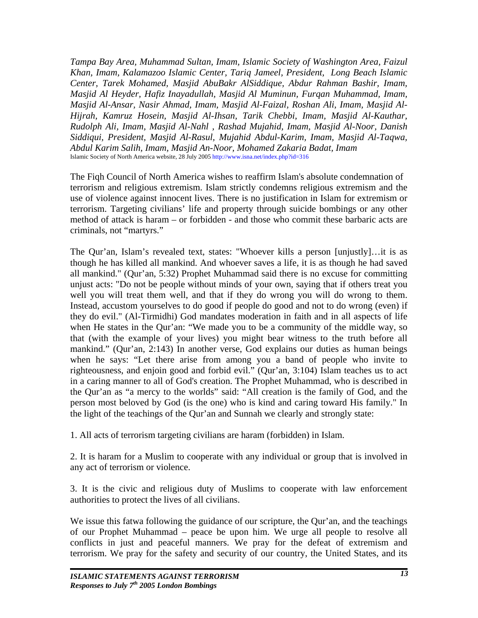*Tampa Bay Area, Muhammad Sultan, Imam, Islamic Society of Washington Area, Faizul Khan, Imam, Kalamazoo Islamic Center, Tariq Jameel, President, Long Beach Islamic Center, Tarek Mohamed, Masjid AbuBakr AlSiddique, Abdur Rahman Bashir, Imam, Masjid Al Heyder, Hafiz Inayadullah, Masjid Al Muminun, Furqan Muhammad, Imam, Masjid Al-Ansar, Nasir Ahmad, Imam, Masjid Al-Faizal, Roshan Ali, Imam, Masjid Al-Hijrah, Kamruz Hosein, Masjid Al-Ihsan, Tarik Chebbi, Imam, Masjid Al-Kauthar, Rudolph Ali, Imam, Masjid Al-Nahl , Rashad Mujahid, Imam, Masjid Al-Noor, Danish Siddiqui, President, Masjid Al-Rasul, Mujahid Abdul-Karim, Imam, Masjid Al-Taqwa, Abdul Karim Salih, Imam, Masjid An-Noor, Mohamed Zakaria Badat, Imam*  Islamic Society of North America website, 28 July 2005 http://www.isna.net/index.php?id=316

The Fiqh Council of North America wishes to reaffirm Islam's absolute condemnation of terrorism and religious extremism. Islam strictly condemns religious extremism and the use of violence against innocent lives. There is no justification in Islam for extremism or terrorism. Targeting civilians' life and property through suicide bombings or any other method of attack is haram – or forbidden - and those who commit these barbaric acts are criminals, not "martyrs."

The Qur'an, Islam's revealed text, states: "Whoever kills a person [unjustly]…it is as though he has killed all mankind. And whoever saves a life, it is as though he had saved all mankind." (Qur'an, 5:32) Prophet Muhammad said there is no excuse for committing unjust acts: "Do not be people without minds of your own, saying that if others treat you well you will treat them well, and that if they do wrong you will do wrong to them. Instead, accustom yourselves to do good if people do good and not to do wrong (even) if they do evil." (Al-Tirmidhi) God mandates moderation in faith and in all aspects of life when He states in the Qur'an: "We made you to be a community of the middle way, so that (with the example of your lives) you might bear witness to the truth before all mankind." (Qur'an, 2:143) In another verse, God explains our duties as human beings when he says: "Let there arise from among you a band of people who invite to righteousness, and enjoin good and forbid evil." (Qur'an, 3:104) Islam teaches us to act in a caring manner to all of God's creation. The Prophet Muhammad, who is described in the Qur'an as "a mercy to the worlds" said: "All creation is the family of God, and the person most beloved by God (is the one) who is kind and caring toward His family." In the light of the teachings of the Qur'an and Sunnah we clearly and strongly state:

1. All acts of terrorism targeting civilians are haram (forbidden) in Islam.

2. It is haram for a Muslim to cooperate with any individual or group that is involved in any act of terrorism or violence.

3. It is the civic and religious duty of Muslims to cooperate with law enforcement authorities to protect the lives of all civilians.

We issue this fatwa following the guidance of our scripture, the Qur'an, and the teachings of our Prophet Muhammad – peace be upon him. We urge all people to resolve all conflicts in just and peaceful manners. We pray for the defeat of extremism and terrorism. We pray for the safety and security of our country, the United States, and its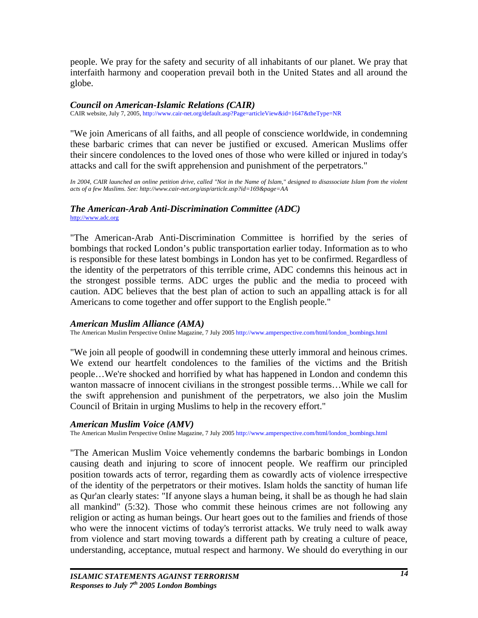people. We pray for the safety and security of all inhabitants of our planet. We pray that interfaith harmony and cooperation prevail both in the United States and all around the globe.

#### *Council on American-Islamic Relations (CAIR)*

CAIR website, July 7, 2005, http://www.cair-net.org/default.asp?Page=articleView&id=1647&theType=NR

"We join Americans of all faiths, and all people of conscience worldwide, in condemning these barbaric crimes that can never be justified or excused. American Muslims offer their sincere condolences to the loved ones of those who were killed or injured in today's attacks and call for the swift apprehension and punishment of the perpetrators."

*In 2004, CAIR launched an online petition drive, called "Not in the Name of Islam," designed to disassociate Islam from the violent acts of a few Muslims. See: http://www.cair-net.org/asp/article.asp?id=169&page=AA* 

#### *The American-Arab Anti-Discrimination Committee (ADC)*  http://www.adc.org

"The American-Arab Anti-Discrimination Committee is horrified by the series of bombings that rocked London's public transportation earlier today. Information as to who is responsible for these latest bombings in London has yet to be confirmed. Regardless of the identity of the perpetrators of this terrible crime, ADC condemns this heinous act in the strongest possible terms. ADC urges the public and the media to proceed with caution. ADC believes that the best plan of action to such an appalling attack is for all Americans to come together and offer support to the English people."

#### *American Muslim Alliance (AMA)*

The American Muslim Perspective Online Magazine, 7 July 2005 http://www.amperspective.com/html/london\_bombings.html

"We join all people of goodwill in condemning these utterly immoral and heinous crimes. We extend our heartfelt condolences to the families of the victims and the British people…We're shocked and horrified by what has happened in London and condemn this wanton massacre of innocent civilians in the strongest possible terms…While we call for the swift apprehension and punishment of the perpetrators, we also join the Muslim Council of Britain in urging Muslims to help in the recovery effort."

#### *American Muslim Voice (AMV)*

The American Muslim Perspective Online Magazine, 7 July 2005 http://www.amperspective.com/html/london\_bombings.html

"The American Muslim Voice vehemently condemns the barbaric bombings in London causing death and injuring to score of innocent people. We reaffirm our principled position towards acts of terror, regarding them as cowardly acts of violence irrespective of the identity of the perpetrators or their motives. Islam holds the sanctity of human life as Qur'an clearly states: "If anyone slays a human being, it shall be as though he had slain all mankind" (5:32). Those who commit these heinous crimes are not following any religion or acting as human beings. Our heart goes out to the families and friends of those who were the innocent victims of today's terrorist attacks. We truly need to walk away from violence and start moving towards a different path by creating a culture of peace, understanding, acceptance, mutual respect and harmony. We should do everything in our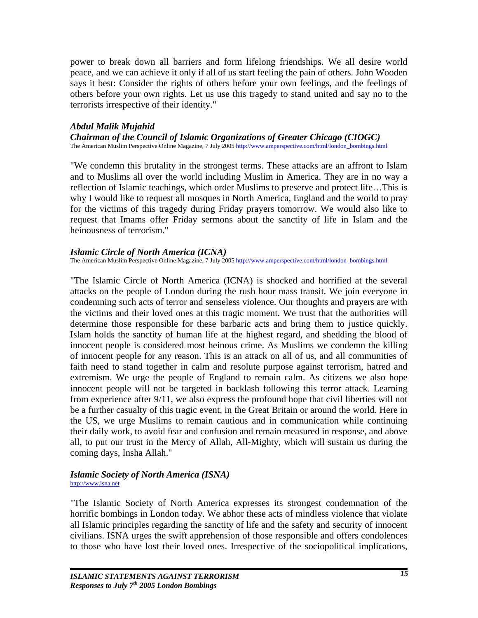power to break down all barriers and form lifelong friendships. We all desire world peace, and we can achieve it only if all of us start feeling the pain of others. John Wooden says it best: Consider the rights of others before your own feelings, and the feelings of others before your own rights. Let us use this tragedy to stand united and say no to the terrorists irrespective of their identity."

#### *Abdul Malik Mujahid*

*Chairman of the Council of Islamic Organizations of Greater Chicago (CIOGC)*  The American Muslim Perspective Online Magazine, 7 July 2005 http://www.amperspective.com/html/london\_bombings.html

"We condemn this brutality in the strongest terms. These attacks are an affront to Islam and to Muslims all over the world including Muslim in America. They are in no way a reflection of Islamic teachings, which order Muslims to preserve and protect life…This is why I would like to request all mosques in North America, England and the world to pray for the victims of this tragedy during Friday prayers tomorrow. We would also like to request that Imams offer Friday sermons about the sanctity of life in Islam and the heinousness of terrorism."

#### *Islamic Circle of North America (ICNA)*

The American Muslim Perspective Online Magazine, 7 July 2005 http://www.amperspective.com/html/london\_bombings.html

"The Islamic Circle of North America (ICNA) is shocked and horrified at the several attacks on the people of London during the rush hour mass transit. We join everyone in condemning such acts of terror and senseless violence. Our thoughts and prayers are with the victims and their loved ones at this tragic moment. We trust that the authorities will determine those responsible for these barbaric acts and bring them to justice quickly. Islam holds the sanctity of human life at the highest regard, and shedding the blood of innocent people is considered most heinous crime. As Muslims we condemn the killing of innocent people for any reason. This is an attack on all of us, and all communities of faith need to stand together in calm and resolute purpose against terrorism, hatred and extremism. We urge the people of England to remain calm. As citizens we also hope innocent people will not be targeted in backlash following this terror attack. Learning from experience after 9/11, we also express the profound hope that civil liberties will not be a further casualty of this tragic event, in the Great Britain or around the world. Here in the US, we urge Muslims to remain cautious and in communication while continuing their daily work, to avoid fear and confusion and remain measured in response, and above all, to put our trust in the Mercy of Allah, All-Mighty, which will sustain us during the coming days, Insha Allah."

# *Islamic Society of North America (ISNA)*

http://www.isna.net

"The Islamic Society of North America expresses its strongest condemnation of the horrific bombings in London today. We abhor these acts of mindless violence that violate all Islamic principles regarding the sanctity of life and the safety and security of innocent civilians. ISNA urges the swift apprehension of those responsible and offers condolences to those who have lost their loved ones. Irrespective of the sociopolitical implications,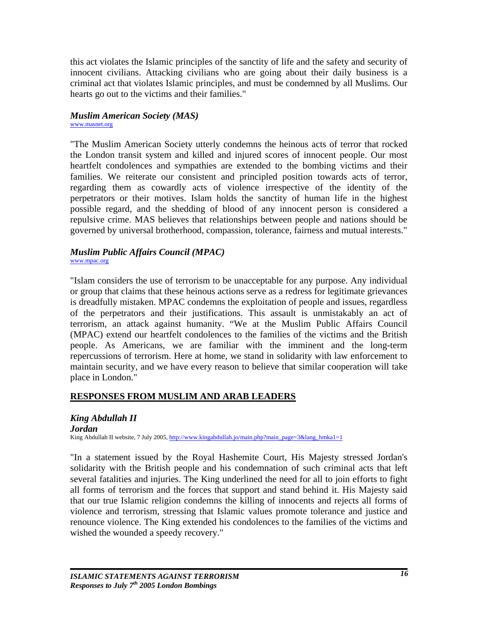this act violates the Islamic principles of the sanctity of life and the safety and security of innocent civilians. Attacking civilians who are going about their daily business is a criminal act that violates Islamic principles, and must be condemned by all Muslims. Our hearts go out to the victims and their families."

# *Muslim American Society (MAS)*

www.masnet.org

"The Muslim American Society utterly condemns the heinous acts of terror that rocked the London transit system and killed and injured scores of innocent people. Our most heartfelt condolences and sympathies are extended to the bombing victims and their families. We reiterate our consistent and principled position towards acts of terror, regarding them as cowardly acts of violence irrespective of the identity of the perpetrators or their motives. Islam holds the sanctity of human life in the highest possible regard, and the shedding of blood of any innocent person is considered a repulsive crime. MAS believes that relationships between people and nations should be governed by universal brotherhood, compassion, tolerance, fairness and mutual interests."

# *Muslim Public Affairs Council (MPAC)*

www.mpac.org

"Islam considers the use of terrorism to be unacceptable for any purpose. Any individual or group that claims that these heinous actions serve as a redress for legitimate grievances is dreadfully mistaken. MPAC condemns the exploitation of people and issues, regardless of the perpetrators and their justifications. This assault is unmistakably an act of terrorism, an attack against humanity. "We at the Muslim Public Affairs Council (MPAC) extend our heartfelt condolences to the families of the victims and the British people. As Americans, we are familiar with the imminent and the long-term repercussions of terrorism. Here at home, we stand in solidarity with law enforcement to maintain security, and we have every reason to believe that similar cooperation will take place in London."

# **RESPONSES FROM MUSLIM AND ARAB LEADERS**

#### *King Abdullah II Jordan*  King Abdullah II website, 7 July 2005, http://www.kingabdullah.jo/main.php?main\_page=3&lang\_hmka1=1

"In a statement issued by the Royal Hashemite Court, His Majesty stressed Jordan's solidarity with the British people and his condemnation of such criminal acts that left several fatalities and injuries. The King underlined the need for all to join efforts to fight all forms of terrorism and the forces that support and stand behind it. His Majesty said that our true Islamic religion condemns the killing of innocents and rejects all forms of violence and terrorism, stressing that Islamic values promote tolerance and justice and renounce violence. The King extended his condolences to the families of the victims and wished the wounded a speedy recovery."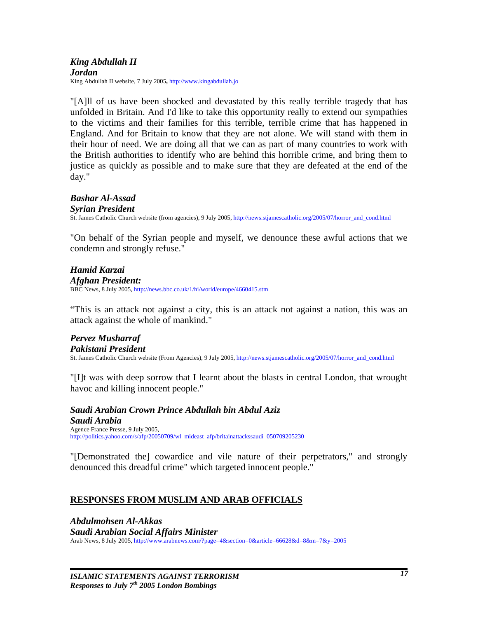#### *King Abdullah II Jordan*  King Abdullah II website, 7 July 2005**,** http://www.kingabdullah.jo

"[A]ll of us have been shocked and devastated by this really terrible tragedy that has unfolded in Britain. And I'd like to take this opportunity really to extend our sympathies to the victims and their families for this terrible, terrible crime that has happened in England. And for Britain to know that they are not alone. We will stand with them in their hour of need. We are doing all that we can as part of many countries to work with the British authorities to identify who are behind this horrible crime, and bring them to justice as quickly as possible and to make sure that they are defeated at the end of the day."

# *Bashar Al-Assad*

*Syrian President*  St. James Catholic Church website (from agencies), 9 July 2005, http://news.stjamescatholic.org/2005/07/horror\_and\_cond.html

"On behalf of the Syrian people and myself, we denounce these awful actions that we condemn and strongly refuse."

# *Hamid Karzai*

*Afghan President:*  BBC News, 8 July 2005, http://news.bbc.co.uk/1/hi/world/europe/4660415.stm

"This is an attack not against a city, this is an attack not against a nation, this was an attack against the whole of mankind."

# *Pervez Musharraf Pakistani President*

St. James Catholic Church website (From Agencies), 9 July 2005, http://news.stjamescatholic.org/2005/07/horror\_and\_cond.html

"[I]t was with deep sorrow that I learnt about the blasts in central London, that wrought havoc and killing innocent people."

#### *Saudi Arabian Crown Prince Abdullah bin Abdul Aziz Saudi Arabia*  Agence France Presse, 9 July 2005, http://politics.yahoo.com/s/afp/20050709/wl\_mideast\_afp/britainattackssaudi\_050709205230

"[Demonstrated the] cowardice and vile nature of their perpetrators," and strongly denounced this dreadful crime" which targeted innocent people."

# **RESPONSES FROM MUSLIM AND ARAB OFFICIALS**

*Abdulmohsen Al-Akkas Saudi Arabian Social Affairs Minister*  Arab News, 8 July 2005, http://www.arabnews.com/?page=4&section=0&article=66628&d=8&m=7&y=2005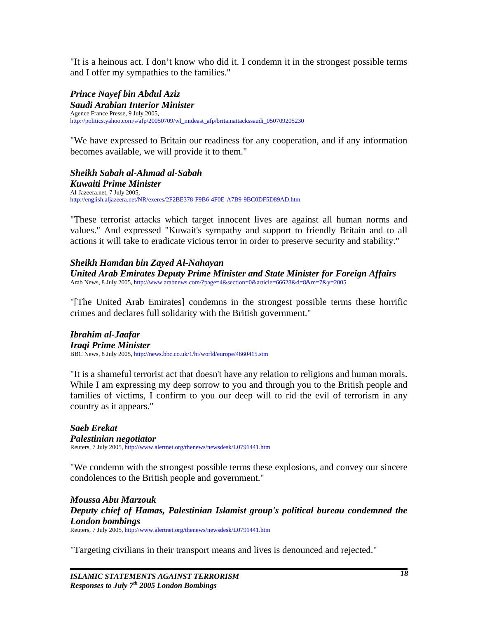"It is a heinous act. I don't know who did it. I condemn it in the strongest possible terms and I offer my sympathies to the families."

#### *Prince Nayef bin Abdul Aziz Saudi Arabian Interior Minister*

Agence France Presse, 9 July 2005, http://politics.yahoo.com/s/afp/20050709/wl\_mideast\_afp/britainattackssaudi\_050709205230

"We have expressed to Britain our readiness for any cooperation, and if any information becomes available, we will provide it to them."

*Sheikh Sabah al-Ahmad al-Sabah Kuwaiti Prime Minister*  Al-Jazeera.net, 7 July 2005, http://english.aljazeera.net/NR/exeres/2F2BE378-F9B6-4F0E-A7B9-9BC0DF5D89AD.htm

"These terrorist attacks which target innocent lives are against all human norms and values." And expressed "Kuwait's sympathy and support to friendly Britain and to all actions it will take to eradicate vicious terror in order to preserve security and stability."

#### *Sheikh Hamdan bin Zayed Al-Nahayan*

*United Arab Emirates Deputy Prime Minister and State Minister for Foreign Affairs*  Arab News, 8 July 2005, http://www.arabnews.com/?page=4&section=0&article=66628&d=8&m=7&y=2005

"[The United Arab Emirates] condemns in the strongest possible terms these horrific crimes and declares full solidarity with the British government."

#### *Ibrahim al-Jaafar Iraqi Prime Minister*

BBC News, 8 July 2005, http://news.bbc.co.uk/1/hi/world/europe/4660415.stm

"It is a shameful terrorist act that doesn't have any relation to religions and human morals. While I am expressing my deep sorrow to you and through you to the British people and families of victims, I confirm to you our deep will to rid the evil of terrorism in any country as it appears."

## *Saeb Erekat*

*Palestinian negotiator* 

Reuters, 7 July 2005, http://www.alertnet.org/thenews/newsdesk/L0791441.htm

"We condemn with the strongest possible terms these explosions, and convey our sincere condolences to the British people and government."

# *Moussa Abu Marzouk Deputy chief of Hamas, Palestinian Islamist group's political bureau condemned the London bombings*

Reuters, 7 July 2005, http://www.alertnet.org/thenews/newsdesk/L0791441.htm

"Targeting civilians in their transport means and lives is denounced and rejected."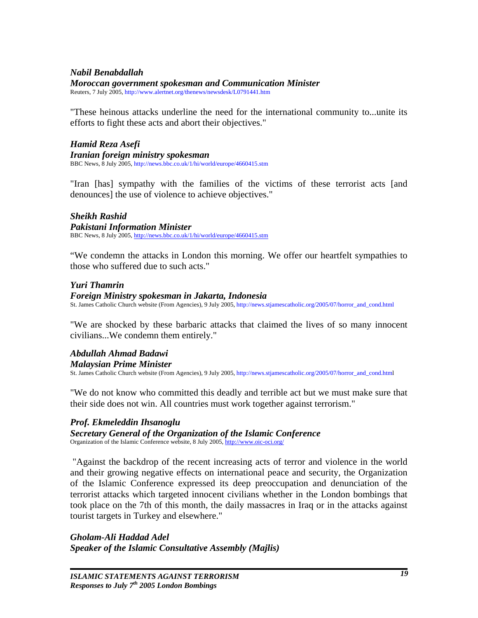#### *Nabil Benabdallah*

#### *Moroccan government spokesman and Communication Minister*

Reuters, 7 July 2005, http://www.alertnet.org/thenews/newsdesk/L0791441.htm

"These heinous attacks underline the need for the international community to...unite its efforts to fight these acts and abort their objectives."

*Hamid Reza Asefi Iranian foreign ministry spokesman*  BBC News, 8 July 2005, http://news.bbc.co.uk/1/hi/world/europe/4660415.stm

"Iran [has] sympathy with the families of the victims of these terrorist acts [and denounces] the use of violence to achieve objectives."

*Sheikh Rashid Pakistani Information Minister*  BBC News, 8 July 2005, http://news.bbc.co.uk/1/hi/world/europe/4660415.stm

"We condemn the attacks in London this morning. We offer our heartfelt sympathies to those who suffered due to such acts."

#### *Yuri Thamrin*

#### *Foreign Ministry spokesman in Jakarta, Indonesia*

St. James Catholic Church website (From Agencies), 9 July 2005, http://news.stjamescatholic.org/2005/07/horror\_and\_cond.html

"We are shocked by these barbaric attacks that claimed the lives of so many innocent civilians...We condemn them entirely."

## *Abdullah Ahmad Badawi*

#### *Malaysian Prime Minister*

St. James Catholic Church website (From Agencies), 9 July 2005, http://news.stjamescatholic.org/2005/07/horror\_and\_cond.html

"We do not know who committed this deadly and terrible act but we must make sure that their side does not win. All countries must work together against terrorism."

## *Prof. Ekmeleddin Ihsanoglu*

*Secretary General of the Organization of the Islamic Conference* Organization of the Islamic Conference website, 8 July 2005, http://www.oic-oci.org/

"Against the backdrop of the recent increasing acts of terror and violence in the world and their growing negative effects on international peace and security, the Organization of the Islamic Conference expressed its deep preoccupation and denunciation of the terrorist attacks which targeted innocent civilians whether in the London bombings that took place on the 7th of this month, the daily massacres in Iraq or in the attacks against tourist targets in Turkey and elsewhere."

*Gholam-Ali Haddad Adel Speaker of the Islamic Consultative Assembly (Majlis)*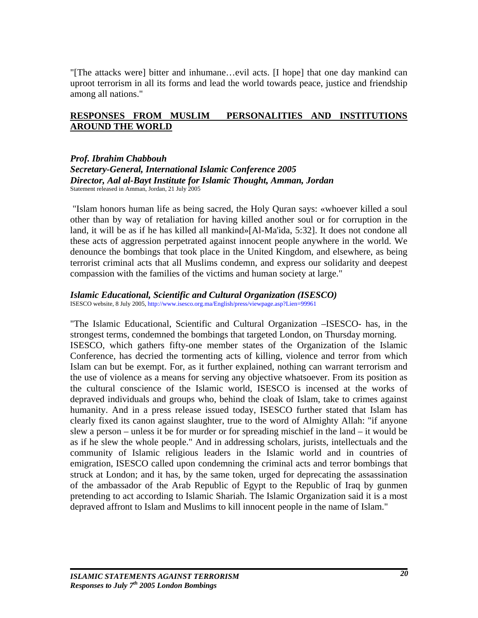"[The attacks were] bitter and inhumane…evil acts. [I hope] that one day mankind can uproot terrorism in all its forms and lead the world towards peace, justice and friendship among all nations."

## **RESPONSES FROM MUSLIM PERSONALITIES AND INSTITUTIONS AROUND THE WORLD**

#### *Prof. Ibrahim Chabbouh*

*Secretary-General, International Islamic Conference 2005 Director, Aal al-Bayt Institute for Islamic Thought, Amman, Jordan*  Statement released in Amman, Jordan, 21 July 2005

 "Islam honors human life as being sacred, the Holy Quran says: «whoever killed a soul other than by way of retaliation for having killed another soul or for corruption in the land, it will be as if he has killed all mankind»[Al-Ma'ida, 5:32]. It does not condone all these acts of aggression perpetrated against innocent people anywhere in the world. We denounce the bombings that took place in the United Kingdom, and elsewhere, as being terrorist criminal acts that all Muslims condemn, and express our solidarity and deepest compassion with the families of the victims and human society at large."

#### *Islamic Educational, Scientific and Cultural Organization (ISESCO)*

ISESCO website, 8 July 2005, http://www.isesco.org.ma/English/press/viewpage.asp?Lien=99961

"The Islamic Educational, Scientific and Cultural Organization –ISESCO- has, in the strongest terms, condemned the bombings that targeted London, on Thursday morning. ISESCO, which gathers fifty-one member states of the Organization of the Islamic Conference, has decried the tormenting acts of killing, violence and terror from which Islam can but be exempt. For, as it further explained, nothing can warrant terrorism and the use of violence as a means for serving any objective whatsoever. From its position as the cultural conscience of the Islamic world, ISESCO is incensed at the works of depraved individuals and groups who, behind the cloak of Islam, take to crimes against humanity. And in a press release issued today, ISESCO further stated that Islam has clearly fixed its canon against slaughter, true to the word of Almighty Allah: "if anyone slew a person – unless it be for murder or for spreading mischief in the land – it would be as if he slew the whole people." And in addressing scholars, jurists, intellectuals and the community of Islamic religious leaders in the Islamic world and in countries of emigration, ISESCO called upon condemning the criminal acts and terror bombings that struck at London; and it has, by the same token, urged for deprecating the assassination of the ambassador of the Arab Republic of Egypt to the Republic of Iraq by gunmen pretending to act according to Islamic Shariah. The Islamic Organization said it is a most depraved affront to Islam and Muslims to kill innocent people in the name of Islam."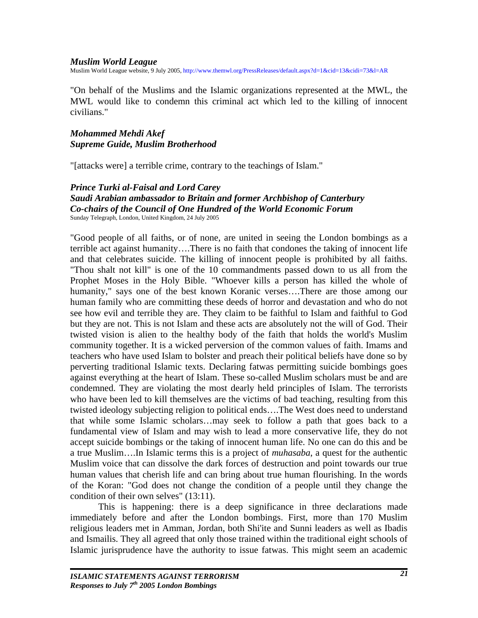#### *Muslim World League*

Muslim World League website, 9 July 2005, http://www.themwl.org/PressReleases/default.aspx?d=1&cid=13&cidi=73&l=AR

"On behalf of the Muslims and the Islamic organizations represented at the MWL, the MWL would like to condemn this criminal act which led to the killing of innocent civilians."

#### *Mohammed Mehdi Akef Supreme Guide, Muslim Brotherhood*

"[attacks were] a terrible crime, contrary to the teachings of Islam."

#### *Prince Turki al-Faisal and Lord Carey*

#### *Saudi Arabian ambassador to Britain and former Archbishop of Canterbury Co-chairs of the Council of One Hundred of the World Economic Forum*  Sunday Telegraph, London, United Kingdom, 24 July 2005

"Good people of all faiths, or of none, are united in seeing the London bombings as a terrible act against humanity….There is no faith that condones the taking of innocent life and that celebrates suicide. The killing of innocent people is prohibited by all faiths. "Thou shalt not kill" is one of the 10 commandments passed down to us all from the Prophet Moses in the Holy Bible. "Whoever kills a person has killed the whole of humanity," says one of the best known Koranic verses….There are those among our human family who are committing these deeds of horror and devastation and who do not see how evil and terrible they are. They claim to be faithful to Islam and faithful to God but they are not. This is not Islam and these acts are absolutely not the will of God. Their twisted vision is alien to the healthy body of the faith that holds the world's Muslim community together. It is a wicked perversion of the common values of faith. Imams and teachers who have used Islam to bolster and preach their political beliefs have done so by perverting traditional Islamic texts. Declaring fatwas permitting suicide bombings goes against everything at the heart of Islam. These so-called Muslim scholars must be and are condemned. They are violating the most dearly held principles of Islam. The terrorists who have been led to kill themselves are the victims of bad teaching, resulting from this twisted ideology subjecting religion to political ends….The West does need to understand that while some Islamic scholars…may seek to follow a path that goes back to a fundamental view of Islam and may wish to lead a more conservative life, they do not accept suicide bombings or the taking of innocent human life. No one can do this and be a true Muslim….In Islamic terms this is a project of *muhasaba*, a quest for the authentic Muslim voice that can dissolve the dark forces of destruction and point towards our true human values that cherish life and can bring about true human flourishing. In the words of the Koran: "God does not change the condition of a people until they change the condition of their own selves" (13:11).

This is happening: there is a deep significance in three declarations made immediately before and after the London bombings. First, more than 170 Muslim religious leaders met in Amman, Jordan, both Shi'ite and Sunni leaders as well as Ibadis and Ismailis. They all agreed that only those trained within the traditional eight schools of Islamic jurisprudence have the authority to issue fatwas. This might seem an academic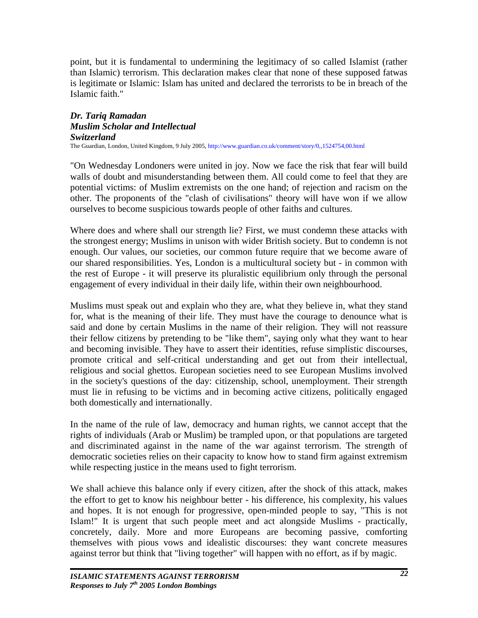point, but it is fundamental to undermining the legitimacy of so called Islamist (rather than Islamic) terrorism. This declaration makes clear that none of these supposed fatwas is legitimate or Islamic: Islam has united and declared the terrorists to be in breach of the Islamic faith."

# *Dr. Tariq Ramadan Muslim Scholar and Intellectual Switzerland*

The Guardian, London, United Kingdom, 9 July 2005, http://www.guardian.co.uk/comment/story/0,,1524754,00.html

"On Wednesday Londoners were united in joy. Now we face the risk that fear will build walls of doubt and misunderstanding between them. All could come to feel that they are potential victims: of Muslim extremists on the one hand; of rejection and racism on the other. The proponents of the "clash of civilisations" theory will have won if we allow ourselves to become suspicious towards people of other faiths and cultures.

Where does and where shall our strength lie? First, we must condemn these attacks with the strongest energy; Muslims in unison with wider British society. But to condemn is not enough. Our values, our societies, our common future require that we become aware of our shared responsibilities. Yes, London is a multicultural society but - in common with the rest of Europe - it will preserve its pluralistic equilibrium only through the personal engagement of every individual in their daily life, within their own neighbourhood.

Muslims must speak out and explain who they are, what they believe in, what they stand for, what is the meaning of their life. They must have the courage to denounce what is said and done by certain Muslims in the name of their religion. They will not reassure their fellow citizens by pretending to be "like them", saying only what they want to hear and becoming invisible. They have to assert their identities, refuse simplistic discourses, promote critical and self-critical understanding and get out from their intellectual, religious and social ghettos. European societies need to see European Muslims involved in the society's questions of the day: citizenship, school, unemployment. Their strength must lie in refusing to be victims and in becoming active citizens, politically engaged both domestically and internationally.

In the name of the rule of law, democracy and human rights, we cannot accept that the rights of individuals (Arab or Muslim) be trampled upon, or that populations are targeted and discriminated against in the name of the war against terrorism. The strength of democratic societies relies on their capacity to know how to stand firm against extremism while respecting justice in the means used to fight terrorism.

We shall achieve this balance only if every citizen, after the shock of this attack, makes the effort to get to know his neighbour better - his difference, his complexity, his values and hopes. It is not enough for progressive, open-minded people to say, "This is not Islam!" It is urgent that such people meet and act alongside Muslims - practically, concretely, daily. More and more Europeans are becoming passive, comforting themselves with pious vows and idealistic discourses: they want concrete measures against terror but think that "living together" will happen with no effort, as if by magic.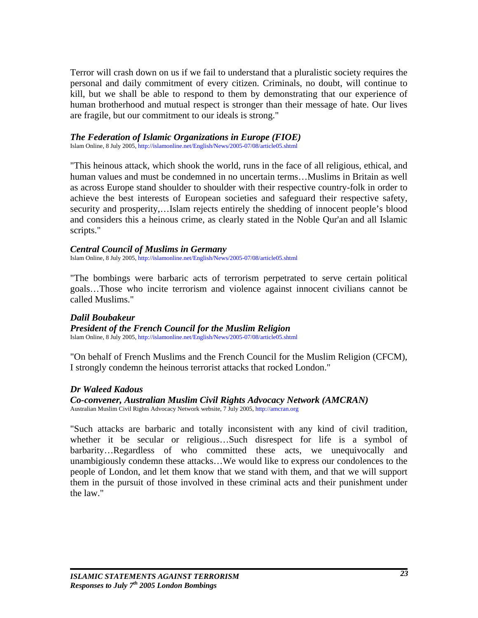Terror will crash down on us if we fail to understand that a pluralistic society requires the personal and daily commitment of every citizen. Criminals, no doubt, will continue to kill, but we shall be able to respond to them by demonstrating that our experience of human brotherhood and mutual respect is stronger than their message of hate. Our lives are fragile, but our commitment to our ideals is strong."

#### *The Federation of Islamic Organizations in Europe (FIOE)*

Islam Online, 8 July 2005, http://islamonline.net/English/News/2005-07/08/article05.shtml

"This heinous attack, which shook the world, runs in the face of all religious, ethical, and human values and must be condemned in no uncertain terms…Muslims in Britain as well as across Europe stand shoulder to shoulder with their respective country-folk in order to achieve the best interests of European societies and safeguard their respective safety, security and prosperity,...Islam rejects entirely the shedding of innocent people's blood and considers this a heinous crime, as clearly stated in the Noble Qur'an and all Islamic scripts."

#### *Central Council of Muslims in Germany*

Islam Online, 8 July 2005, http://islamonline.net/English/News/2005-07/08/article05.shtml

"The bombings were barbaric acts of terrorism perpetrated to serve certain political goals…Those who incite terrorism and violence against innocent civilians cannot be called Muslims."

#### *Dalil Boubakeur*

*President of the French Council for the Muslim Religion*  Islam Online, 8 July 2005, http://islamonline.net/English/News/2005-07/08/article05.shtml

"On behalf of French Muslims and the French Council for the Muslim Religion (CFCM), I strongly condemn the heinous terrorist attacks that rocked London."

#### *Dr Waleed Kadous*

#### *Co-convener, Australian Muslim Civil Rights Advocacy Network (AMCRAN)*  Australian Muslim Civil Rights Advocacy Network website, 7 July 2005, http://amcran.org

"Such attacks are barbaric and totally inconsistent with any kind of civil tradition, whether it be secular or religious…Such disrespect for life is a symbol of barbarity…Regardless of who committed these acts, we unequivocally and unambigiously condemn these attacks…We would like to express our condolences to the people of London, and let them know that we stand with them, and that we will support them in the pursuit of those involved in these criminal acts and their punishment under the law."